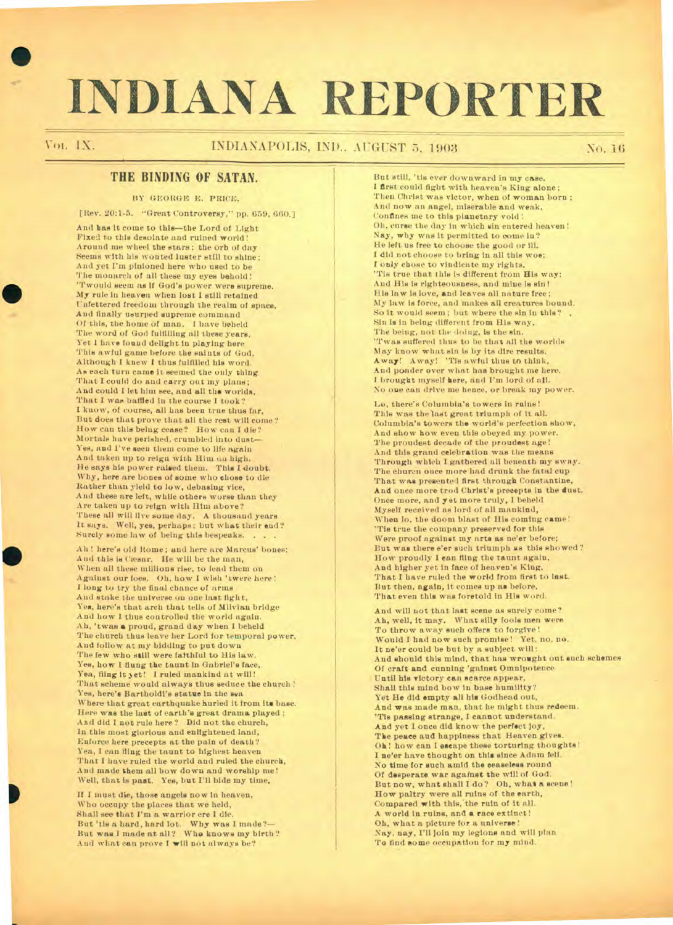# **INDIANA REPORTER**

•

# Voi. IX. NOI. INDIANAPOLIS, IND.. AUGUST 5, 1903 No. 16

# **THE BINDING OF SATAN.**

#### **BY GEORGE E. PRICE.**

**[Rev. 20:1-5. "Great Controversy," pp. 659, 660.]** 

**And has it come to this—the Lord of Light Fixed to this desolate and ruined world! Around me wheel the stars; the orb of day Seems with his wonted luster still to shine; And yet I'm pinioned here who used to be The monarch of all these my eyes behold! 'Twould seem as if God's power were supreme.**  My rule in heaven when lost I still retained **Unfettered freedom through the realm of space, And finally usurped supreme command Of this, the home of man. I have beheld The word of God fulfilling all these years, Yet I have found delight in playing here This awful game before the saints of God, Although I knew I thus fulfilled his word. As each turn came it seemed the only thing That I could do and carry out my plans; And could I let him see, and all the worlds, That I was baffled in the course I took? I know, of course, all has been true thus far, But does that prove that all the rest will come ? How can this being cease? How can I die? Mortals have perished, crumbled into dust— Yes, and I've seen them come to life again And taken up to reign with Him on high. He says his power raised them. This I doubt. Why, here are bones of some who chose to die Rather than yield to low, debasing vice, And these are left, while others worse than they Are taken up to reign with Him above?**  These all will live some day. A thousand years<br>It says. Well, yes, perhaps; but what their end?<br>Surely some law of being this bespeaks. . . . .

**Ah ! here's old Rome; and here are Marcus' bones; And this is Caesar. He will be the man, When all these millions rise, to lead them on Against our foes. Oh, how I wish 'twere here !**  I **long to try the final chance of arms And stake the universe on one last fight, Yes, here's that arch that tells of Milvian bridge And how I thus controlled the world again. Ah, 'twee a proud, grand day when I beheld The church thus leave her Lord for temporal power, And follow at my bidding to put down The few who still were faithful to His law. Yee, how 1 flung the taunt in Gabriel's face, Yea, fling it yet! I ruled mankind at will! That scheme would always thus seduce the church ! Yes, here's Bartholdi's statue in the sea**  Where that great earthquake hurled it from its base. **Here was the last of earth's great drama played ; AB(Idid I not rule here? Did not the church, In this most glorious and enlightened land, Enforce here precepts at the pain of death? Yea, I can fling the taunt to highest heaven That I have ruled the world and ruled the church, And made them all bow down and worship me! Well, that is past. Yes, but I'll bide my time.** 

**If I must die, those angels now in heaven, Who occupy the places that we held, Shall see that I'm a warrior ere I die. But 'tis a hard, hard lot. Why was I made?— But was I made at all? Who knows my birth ? And what can prove I will not always be?** 

**But still, 'tie ever downward in my case. I first could fight with heaven's King alone; Then Christ was victor, when of woman born ; And now an angel, miserable and weak, Confines me to this planetary void ! Oh, curse the day in which sin entered heaven! Nay, why was it permitted to come in? He left us free to choose the good or III. I did not choose to bring in all this woe: I only chose to vindicate my rights.**  'Tis true that this is different from His way: **Aud His is righteousness, and mine is sin! His law is love, and leaves all nature free; My law is force, and makes all creatures bound. So it would seem; but where the sin in this? Sin is in being different from His way, The being, not the doing, is the sin.**  'Twas suffered thus to be that all the worlds **May know what sin is by its dire results. Away! Away! 'Tie awful thus to think, And ponder over what has brought me here. I brought myself here, and I'm lord of all. No one can drive me hence, or break my power.** 

Lo, there's Columbia's towers in ruins **This was the last great triumph of it all. Columbia's towers the world's perfection show, And show how even this obeyed my power. The proudest decade of the proudest age! And this grand celebration was the means Through which I gathered all beneath my sway. The churcu once more had drunk the fatal cup That was presented first through Constantine, And once more trod Christ's precepts in the dust. Once more, and yet more truly, I beheld Myself received as lord of all mankind, When lo, the doom blast of His coming came! 'Tie true the company preserved for this Were proof against my arts as ne'er before; But was there e'er such triumph as this showed? How proudly I can fling the taunt again, And higher yet in face of heaven's King, That I have ruled the world from first to last. But then, again, it comes up as before, That even this was foretold in His word.** 

**And will not that last scene as surely come? Ah, well, it may. What silly fools men were To throw away such offers to forgive! Would I bad now such promise! Yet, no, no. It ne'er could be but by a subject will: And should this mind, that has wrought out such schemes**  Of craft and cunning 'gainst Omnipotence **Until his victory can scarce appear, Shall this mind bow in base humility? Yet He did empty all his Godhead out, And was made man, that he might thus redeem. 'Tis passing strange, I cannot understand. And yet I once did know the perfect joy, The peace and happiness that Heaven gives. Oh! how can I escape these torturing thoughts! I ne'er have thought on this since Adam fell. No time for such amid the ceaseless round Of desperate** *war* **against the will of God. But now, what shall I do? Oh, what a scene! How paltry were all ruins of the earth,**  Compared with this, the ruin of it all. **A world in ruins, and a race extinct! Oh, what a picture for a universe! Nay, nay, I'll join my legions and will plan 'l'o** *find* **some occupation for my mind.**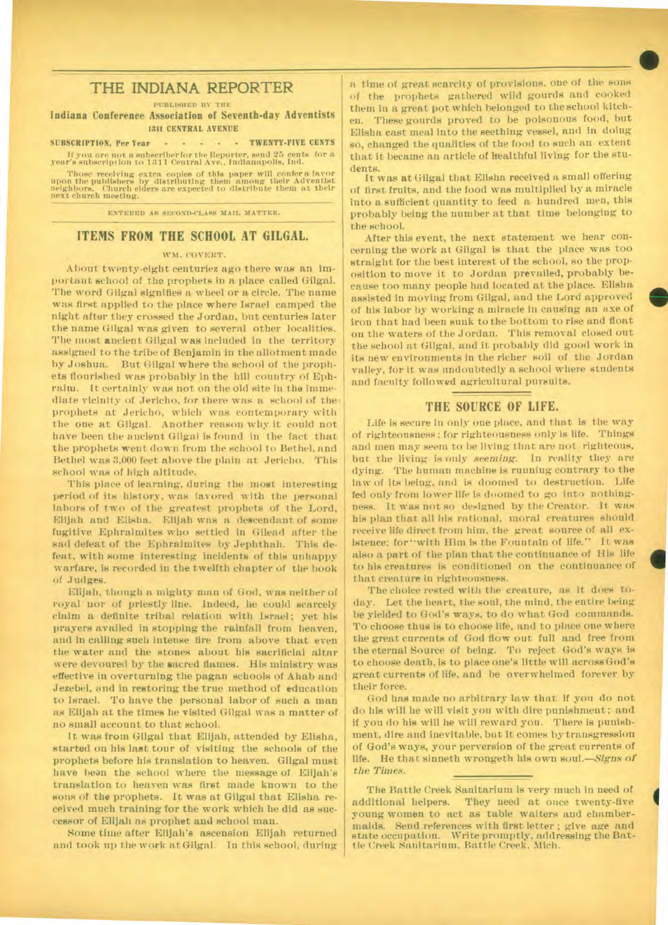# THE INDIANA REPORTER

PUBLISHED BY THE

Indiana Conference Association of Seventh-day Adventists **1311 CENTRAL AVENUE** 

#### **SUBSCRIPTION.** Per Year  $\cdot \cdot \cdot \cdot \cdot \cdot \cdot$  **TWENTY-FIVE CENTS**

**If** you are not a subscriber for the Reporter, send 25 cents for a year's subscript ion to 11111 Central Ave., Indianapolis, Ind.

Those receiving extra copies of this paper will confer a favor upon the publishers by distributing them among their Adventist neighbors. Church elders are expected to distribute them at their next church meeting.

ENTERED AS SECOND-CLASS MAIL MATTER.

#### **ITEMS FROM THE SCHOOL AT GILGAL.**

#### WM. COVERT.

About twenty-eight centuriez ago there was an important school of the prophets in a place called Gilgal. The word Gilgal signifies a wheel or a circle. The name was first applied to the place where Israel camped the night after they crossed the Jordan, but centuries later the name Gilgal was given to several other localities. The most ancient Gilgal was included in the territory assigned to the tribe of Benjamin in the allotment made by Joshua. But Gilgal where the school of the prophets flourished was probably in the hill country of Ephraim. It certainly was not on the old site in the immediate vicinity of Jericho, for there was a school of the prophets at Jericho, which was contemporary with the one at Gilgal. Another reason why it could not have been the ancient Gilgal is found in the fact that the prophets went down from the school to Bethel, and Bethel was 3,000 feet above the plain at Jericho. This school was of high altitude.

This place of learning, during the most interesting period of its history, was favored with the personal labors of two of the greatest prophets of the Lord, Elijah and Elisha. Elijah was a descendant of some fugitive Ephraimites who settled in Gilead after the sad defeat of the Ephraimites by Jephthah. This defeat, with some interesting incidents of this unhappy warfare, is recorded in the twelfth chapter of the book of Judges.

Elijah, though a mighty man of God, was neither of royal nor of priestly line. Indeed, he could scarcely claim a definite tribal relation with Israel; yet his prayers availed in stopping the rainfall from heaven, and in calling such intense fire from above that even the water and the stones about his sacrificial altar were devoured by the sacred flames. His ministry was effective in overturning the pagan schools of Ahab and .Jezebel, and in restoring the true method of education to Israel. To have the personal labor of such a man as Elijah at the times he visited Gilgal was a matter of no small account to that school.

It was from Gilgal that Elijah, attended by Elisha, started on his last tour of visiting the schools of the prophets before his translation to heaven. Gilgal must have been the school where the message of Elijah's translation to heaven was first made known to the sons of the prophets. It was at Gilgal that Elisha received much training for the work which he did as successor of Elijah as prophet and school man.

Some time after Elijah's ascension Elijah returned and took up the work at Gilgal. In this school, during a time of great scarcity of provisions. one of the sons of the prophets gathered wild gourds and cooked them in a great pot which belonged to the school kitchen. These gourds proved to be poisonous food, but Elisha cast meal into the seething vessel, and in doing so, changed the qualities of the food to such an extent that it became an article of healthful living for the students.

•

•

**4** 

It was at Gilgal that Elisha received a small offering of first fruits, and the food was multiplied by a miracle into a sufficient quantity to feed a hundred men, this probably being the number at that time belonging to the school.

After this event, the next statement we hear concerning the work at Giigal is that the place was too straight for the best interest of the school, so the proposition to move it to Jordan prevailed, probably because too many people had located at the place. Elisha assisted in moving from Gilgal, and the Lord approved of his labor by working a miracle in causing an axe of iron that had been sunk to the bottom to rise and float on the waters of the Jordan. This removal closed out the school at Gilgal, and it probably did good work in its new environments in the richer soil of the Jordan valley, for It was undoubtedly a school where students and faculty followed agricultural pursuits.

## **THE SOURCE OF LIFE.**

Life is secure in only one place, and that is the way of righteousness; for righteousness only is life. Things and men may seem to be living that are not righteous, but the living is only *seeming.* In reality they are dying. The human machine is running contrary to the law of its being, and is doomed to destruction. Life fed only from lower life is doomed to go into nothingness. It was not so designed by the Creator. It was his plan that all his rational, moral creatures should receive life direct from him, the great source of all existence; for "with Him is the Fountain of life." It was also a part of the plan that the continuance of His life to his creatures is conditioned on the continuance of that creature in righteousness.

The choice rested with the creature, as it does today. Let the heart, the soul, the mind, the entire being be yielded to God's ways, to do what God commands. To choose thus is to choose life, and to place one where the great currents of God flow out full and free from the eternal Source of being. To reject God's ways is to choose death, is to place one's little will across God's great currents of life, and be overwhelmed forever by their force.

God has made no arbitrary law that if you do not do his will he will visit you with dire punishment; and if you do his will he will reward you. There is punishment, dire and inevitable, but it comes by transgression of God's ways, your perversion of the great currents of life. He that sinneth wrongeth his own *soul.—Signs of the Times.* 

The Battle Creek Sanitarium is very much in need of additional helpers. They need at once twenty-five young women to act as table waiters and chambermaids. Send references with first letter ; give age and state occupation. Write promptly, addressing the Battle Creek Sanitarium, Battle Creek, Mich.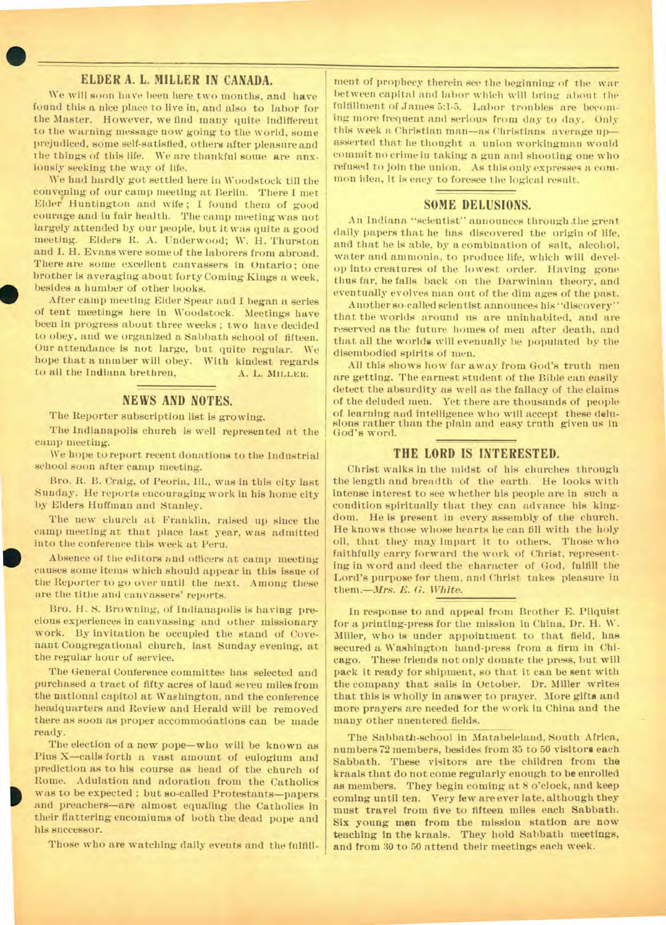#### **ELDER A. L. MILLER IN CANADA.**

•<br>•

We will soon have been here two months, and have found this a nice place to live in, and also to labor for the Master. However, we find many quite indifferent to the warning message now going to the world, some prejudiced, some self-satisfied, others after pleasure and the things of this life. We are thankful some are anxiously seeking the way of life.

an Theory<br>
of the contract of the contract of the contract of the contract of the contract of the contract of the contract of the contract of the contract of the contract of the contract of the contract of the contract of We had hardly got settled here in Woodstock till the convening of our camp meeting at Berlin. There I met Elder Huntington and wife ; I found them of good courage and iu fair health. The camp meeting was not largely attended by our people, but it was quite a good meeting. Elders R. A. Underwood; W. H. Thurston and I. H. Evans were some of the laborers from abroad. There are some excellent canvassers in Ontario; one brother is averaging about forty Coming Kings a week, besides a humber of other books.

After camp meeting Elder Spear and I began a series of tent meetings here in Woodstock. Meetings have been in progress about three weeks ; two have decided to obey, and we organized a Sabbath school of fifteen. Our attendance is not large, but quite regular. We hope that a number will obey. With kindest regards to all the Indiana brethren, A. L. MILLER.

#### **NEWS AND NOTES.**

The Reporter subscription list is growing.

The Indianapolis church is well represented at the camp meeting.

We hope to report recent donations to the Industrial school soon after camp meeting.

Bro. R. B. Craig, of Peoria, Ill., was in this city last Sunday. He reports encouraging work in his home city by Elders Huffman and Stanley.

ear<br>
int<br>
ear<br>
the The new church at Franklin, raised up since the camp meeting at that place last year, was admitted into the conference this week at Peru.

Absence of the editors and officers at camp meeting causes some items which should appear in this issue of the Reporter to go over until the next. Among these are the tithe and canvassers' reports.

Bro. H. S. Browning, of Indianapolis is having precious experiences in canvassing and other missionary work. By invitation he occupied the stand of Covenant Congregational church, last Sunday evening, at the regular hour of service.

The General Conference committee has selected and purchased a traet of fifty acres of land seven miles from the national capitol at Washington, and the conference headquarters and Review and Herald will be removed there as soon as proper accommodations can be made ready.

The election of a new pope—who will be known as Pius X—calls forth a vast amount of eulogium and prediction as to his course as head of the church of Rome. Adulation and adoration from the Catholics was to be expected : but so-called Protestants—papers and preachers—are almost equaling the Catholics in their flattering encomiums of both the dead pope and his successor.

Those who are watching daily events and the fulfill-

ment of prophecy therein see the beginning of the war between capital and labor which will bring about the fulfillment of James 5:1-5. Labor troubles are becoming more frequent and serious from day to day. Only this week a Christian man—as Christians average up asserted that he thought a union workingman would commit no crime in taking a gun and shooting one who refused to join the union. As this only expresses a common idea, it is eaey to foresee the logical result.

#### **SOME DELUSIONS.**

An Indiana "scientist" announces through .the great daily papers that he has discovered the origin of life, and that he is able, by a combination of salt, alcohol, water and ammonia, to produce life, which will develop into creatures of the lowest order. Having gone thus far, he falls back on the Darwinian theory, and eventually evolves man out of the dim ages of the past.

Another so-called scientist announces his "discovery" that the worlds around us are uninhabited, and are reserved as the future homes of men after death, and that all the worlds will evenually be populated by the disembodied spirits of men.

All this shows how far away from God's truth men are getting. The earnest student of the Bible can easily detect the absurdity as well as the fallacy of the claims of the deluded men. Yet there are thousands of people of learning and intelligence who will accept these delusions rather than the plain and easy trnth given us in God's word.

#### **THE LORD IS INTERESTED.**

Christ walks in the midst of his churches through the length and breadth of the earth. He looks with intense interest to see whether his people are in such a condition spiritually that they can advance his kingdom. He is present in every assembly of the church. He knows those whose hearts he can fill with the holy oil, that they may impart it to others. Those who faithfully carry forward the work of Christ, representing in word and deed the character of God, fulfill the Lord's purpose for them, and Christ takes pleasure in them.—Mrs. *E. G. White.* 

In response to and appeal from Brother E. Pilquist for a printing-press for the mission in China, Dr. H. W. Miller, who is under appointment to that field, has secured a Washington hand-press from a firm in Chicago. These friends not only donate the press, but will pack it ready for shipment, so that it can be sent with the company that sails in October. Dr. Miller writes that this is wholly in answer to prayer. More gifts and more prayers are needed for the work in China and the many other unentered fields.

The Sabbath-school in Matabeleland, South Africa, numbers 72 members, besides from 35 to 50 visitors each Sabbath. These visitors are the children from the kraals that do not come regularly enough to be enrolled as members. They begin coming at 8 o'clock, and keep coming until ten. Very few are ever late, although they must travel from five to fifteen miles each Sabbath. Six young men from the mission station are now teaching in the kraals. They hold Sabbath meetings, and from 30 to 50 attend their meetings each week.